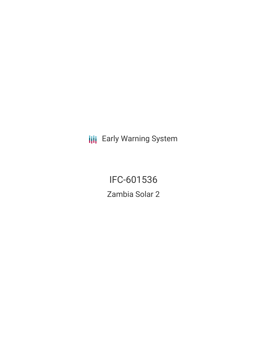**III** Early Warning System

IFC-601536 Zambia Solar 2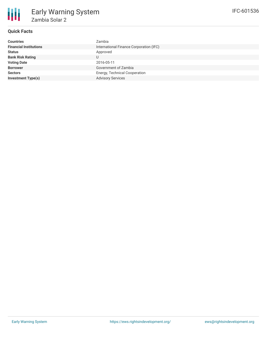

## **Quick Facts**

| <b>Countries</b>              | Zambia                                  |  |  |  |
|-------------------------------|-----------------------------------------|--|--|--|
| <b>Financial Institutions</b> | International Finance Corporation (IFC) |  |  |  |
| <b>Status</b>                 | Approved                                |  |  |  |
| <b>Bank Risk Rating</b>       |                                         |  |  |  |
| <b>Voting Date</b>            | 2016-05-11                              |  |  |  |
| <b>Borrower</b>               | Government of Zambia                    |  |  |  |
| <b>Sectors</b>                | Energy, Technical Cooperation           |  |  |  |
| <b>Investment Type(s)</b>     | <b>Advisory Services</b>                |  |  |  |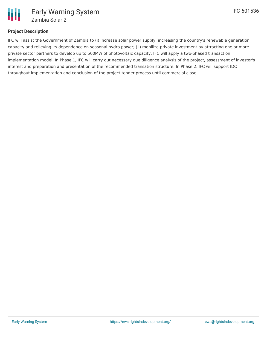

## **Project Description**

IFC will assist the Government of Zambia to (i) increase solar power supply, increasing the country's renewable generation capacity and relieving its dependence on seasonal hydro power; (ii) mobilize private investment by attracting one or more private sector partners to develop up to 500MW of photovoltaic capacity. IFC will apply a two-phased transaction implementation model. In Phase 1, IFC will carry out necessary due diligence analysis of the project, assessment of investor's interest and preparation and presentation of the recommended transation structure. In Phase 2, IFC will support IDC throughout implementation and conclusion of the project tender process until commercial close.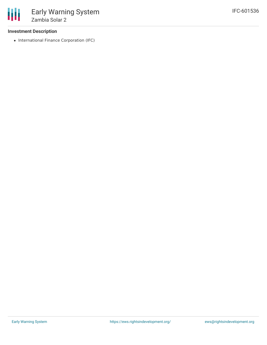

## **Investment Description**

• International Finance Corporation (IFC)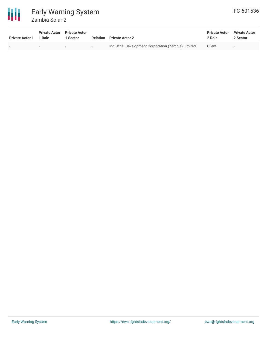

| <b>Private Actor 1</b>   | <b>Private Actor</b><br>1 Role | <b>Private Actor</b><br>1 Sector | <b>Relation</b> | <b>Private Actor 2</b>                              | <b>Private Actor</b><br>2 Role | <b>Private Actor</b><br>2 Sector |
|--------------------------|--------------------------------|----------------------------------|-----------------|-----------------------------------------------------|--------------------------------|----------------------------------|
| $\overline{\phantom{0}}$ | $\overline{\phantom{a}}$       | $\overline{\phantom{a}}$         | $\sim$          | Industrial Development Corporation (Zambia) Limited | Client                         | $\overline{\phantom{a}}$         |